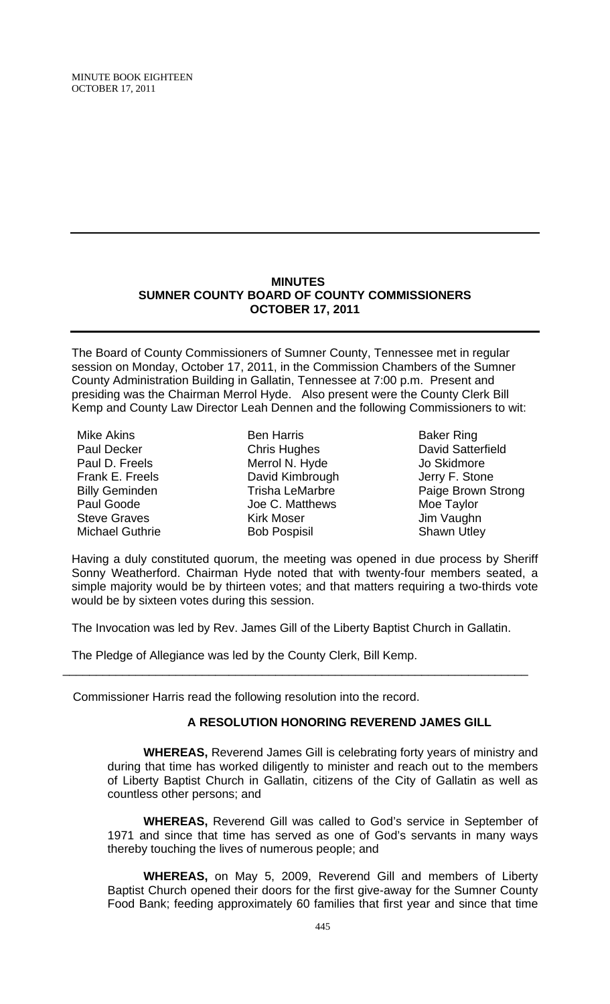## **MINUTES SUMNER COUNTY BOARD OF COUNTY COMMISSIONERS OCTOBER 17, 2011**

The Board of County Commissioners of Sumner County, Tennessee met in regular session on Monday, October 17, 2011, in the Commission Chambers of the Sumner County Administration Building in Gallatin, Tennessee at 7:00 p.m. Present and presiding was the Chairman Merrol Hyde. Also present were the County Clerk Bill Kemp and County Law Director Leah Dennen and the following Commissioners to wit:

| Mike Akins             |
|------------------------|
| Paul Decker            |
| Paul D. Freels         |
| Frank E. Freels        |
| <b>Billy Geminden</b>  |
| Paul Goode             |
| <b>Steve Graves</b>    |
| <b>Michael Guthrie</b> |

Ben Harris Chris Hughes Merrol N. Hyde David Kimbrough Trisha LeMarbre Joe C. Matthews Kirk Moser Bob Pospisil

Baker Ring David Satterfield Jo Skidmore Jerry F. Stone Paige Brown Strong Moe Taylor Jim Vaughn Shawn Utley

Having a duly constituted quorum, the meeting was opened in due process by Sheriff Sonny Weatherford. Chairman Hyde noted that with twenty-four members seated, a simple majority would be by thirteen votes; and that matters requiring a two-thirds vote would be by sixteen votes during this session.

The Invocation was led by Rev. James Gill of the Liberty Baptist Church in Gallatin.

\_\_\_\_\_\_\_\_\_\_\_\_\_\_\_\_\_\_\_\_\_\_\_\_\_\_\_\_\_\_\_\_\_\_\_\_\_\_\_\_\_\_\_\_\_\_\_\_\_\_\_\_\_\_\_\_\_\_\_\_\_\_\_\_\_\_\_\_\_\_

The Pledge of Allegiance was led by the County Clerk, Bill Kemp.

Commissioner Harris read the following resolution into the record.

### **A RESOLUTION HONORING REVEREND JAMES GILL**

 **WHEREAS,** Reverend James Gill is celebrating forty years of ministry and during that time has worked diligently to minister and reach out to the members of Liberty Baptist Church in Gallatin, citizens of the City of Gallatin as well as countless other persons; and

**WHEREAS,** Reverend Gill was called to God's service in September of 1971 and since that time has served as one of God's servants in many ways thereby touching the lives of numerous people; and

**WHEREAS,** on May 5, 2009, Reverend Gill and members of Liberty Baptist Church opened their doors for the first give-away for the Sumner County Food Bank; feeding approximately 60 families that first year and since that time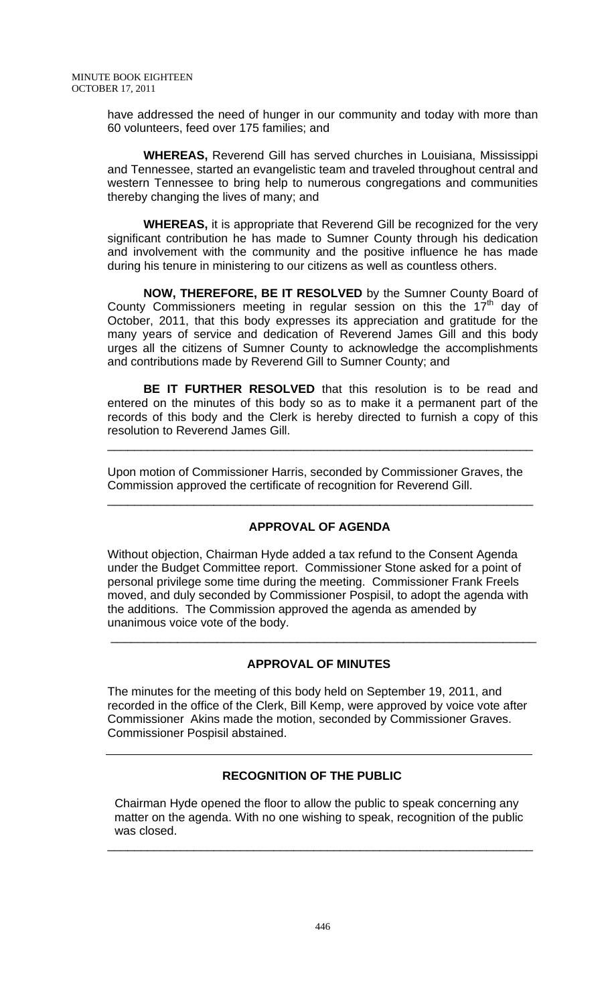have addressed the need of hunger in our community and today with more than 60 volunteers, feed over 175 families; and

**WHEREAS,** Reverend Gill has served churches in Louisiana, Mississippi and Tennessee, started an evangelistic team and traveled throughout central and western Tennessee to bring help to numerous congregations and communities thereby changing the lives of many; and

**WHEREAS,** it is appropriate that Reverend Gill be recognized for the very significant contribution he has made to Sumner County through his dedication and involvement with the community and the positive influence he has made during his tenure in ministering to our citizens as well as countless others.

**NOW, THEREFORE, BE IT RESOLVED** by the Sumner County Board of County Commissioners meeting in regular session on this the  $17<sup>th</sup>$  day of October, 2011, that this body expresses its appreciation and gratitude for the many years of service and dedication of Reverend James Gill and this body urges all the citizens of Sumner County to acknowledge the accomplishments and contributions made by Reverend Gill to Sumner County; and

**BE IT FURTHER RESOLVED** that this resolution is to be read and entered on the minutes of this body so as to make it a permanent part of the records of this body and the Clerk is hereby directed to furnish a copy of this resolution to Reverend James Gill.

\_\_\_\_\_\_\_\_\_\_\_\_\_\_\_\_\_\_\_\_\_\_\_\_\_\_\_\_\_\_\_\_\_\_\_\_\_\_\_\_\_\_\_\_\_\_\_\_\_\_\_\_\_\_\_\_\_\_\_\_\_\_\_\_

Upon motion of Commissioner Harris, seconded by Commissioner Graves, the Commission approved the certificate of recognition for Reverend Gill.

## **APPROVAL OF AGENDA**

\_\_\_\_\_\_\_\_\_\_\_\_\_\_\_\_\_\_\_\_\_\_\_\_\_\_\_\_\_\_\_\_\_\_\_\_\_\_\_\_\_\_\_\_\_\_\_\_\_\_\_\_\_\_\_\_\_\_\_\_\_\_\_\_

Without objection, Chairman Hyde added a tax refund to the Consent Agenda under the Budget Committee report. Commissioner Stone asked for a point of personal privilege some time during the meeting. Commissioner Frank Freels moved, and duly seconded by Commissioner Pospisil, to adopt the agenda with the additions. The Commission approved the agenda as amended by unanimous voice vote of the body.

## **APPROVAL OF MINUTES**

\_\_\_\_\_\_\_\_\_\_\_\_\_\_\_\_\_\_\_\_\_\_\_\_\_\_\_\_\_\_\_\_\_\_\_\_\_\_\_\_\_\_\_\_\_\_\_\_\_\_\_\_\_\_\_\_\_\_\_\_\_\_\_\_

The minutes for the meeting of this body held on September 19, 2011, and recorded in the office of the Clerk, Bill Kemp, were approved by voice vote after Commissioner Akins made the motion, seconded by Commissioner Graves. Commissioner Pospisil abstained.

# **RECOGNITION OF THE PUBLIC**

 Chairman Hyde opened the floor to allow the public to speak concerning any matter on the agenda. With no one wishing to speak, recognition of the public was closed.

\_\_\_\_\_\_\_\_\_\_\_\_\_\_\_\_\_\_\_\_\_\_\_\_\_\_\_\_\_\_\_\_\_\_\_\_\_\_\_\_\_\_\_\_\_\_\_\_\_\_\_\_\_\_\_\_\_\_\_\_\_\_\_\_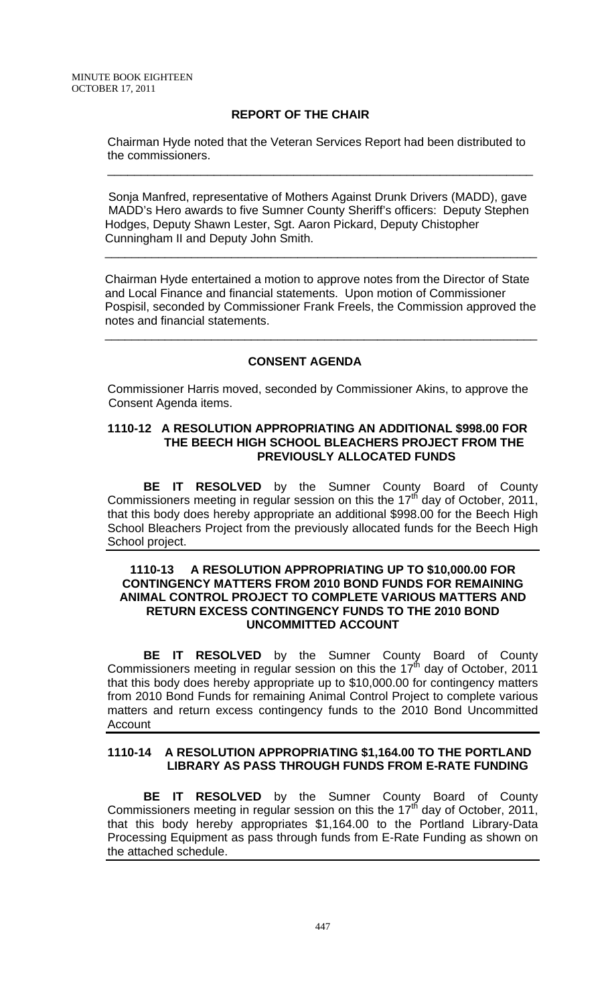## **REPORT OF THE CHAIR**

Chairman Hyde noted that the Veteran Services Report had been distributed to the commissioners.

\_\_\_\_\_\_\_\_\_\_\_\_\_\_\_\_\_\_\_\_\_\_\_\_\_\_\_\_\_\_\_\_\_\_\_\_\_\_\_\_\_\_\_\_\_\_\_\_\_\_\_\_\_\_\_\_\_\_\_\_\_\_\_\_

Sonja Manfred, representative of Mothers Against Drunk Drivers (MADD), gave MADD's Hero awards to five Sumner County Sheriff's officers: Deputy Stephen Hodges, Deputy Shawn Lester, Sgt. Aaron Pickard, Deputy Chistopher Cunningham II and Deputy John Smith.

 $\overline{\phantom{a}}$  , and the contribution of the contribution of the contribution of the contribution of the contribution of the contribution of the contribution of the contribution of the contribution of the contribution of the

Chairman Hyde entertained a motion to approve notes from the Director of State and Local Finance and financial statements. Upon motion of Commissioner Pospisil, seconded by Commissioner Frank Freels, the Commission approved the notes and financial statements.

## **CONSENT AGENDA**

 $\overline{\phantom{a}}$  , and the contribution of the contribution of the contribution of the contribution of the contribution of  $\overline{\phantom{a}}$ 

Commissioner Harris moved, seconded by Commissioner Akins, to approve the Consent Agenda items.

#### **1110-12 A RESOLUTION APPROPRIATING AN ADDITIONAL \$998.00 FOR THE BEECH HIGH SCHOOL BLEACHERS PROJECT FROM THE PREVIOUSLY ALLOCATED FUNDS**

**BE IT RESOLVED** by the Sumner County Board of County Commissioners meeting in regular session on this the  $17<sup>th</sup>$  day of October, 2011, that this body does hereby appropriate an additional \$998.00 for the Beech High School Bleachers Project from the previously allocated funds for the Beech High School project.

#### **1110-13 A RESOLUTION APPROPRIATING UP TO \$10,000.00 FOR CONTINGENCY MATTERS FROM 2010 BOND FUNDS FOR REMAINING ANIMAL CONTROL PROJECT TO COMPLETE VARIOUS MATTERS AND RETURN EXCESS CONTINGENCY FUNDS TO THE 2010 BOND UNCOMMITTED ACCOUNT**

**BE IT RESOLVED** by the Sumner County Board of County Commissioners meeting in regular session on this the 17<sup>th</sup> day of October, 2011 that this body does hereby appropriate up to \$10,000.00 for contingency matters from 2010 Bond Funds for remaining Animal Control Project to complete various matters and return excess contingency funds to the 2010 Bond Uncommitted Account

### **1110-14 A RESOLUTION APPROPRIATING \$1,164.00 TO THE PORTLAND LIBRARY AS PASS THROUGH FUNDS FROM E-RATE FUNDING**

**BE IT RESOLVED** by the Sumner County Board of County Commissioners meeting in regular session on this the  $17<sup>th</sup>$  day of October, 2011, that this body hereby appropriates \$1,164.00 to the Portland Library-Data Processing Equipment as pass through funds from E-Rate Funding as shown on the attached schedule.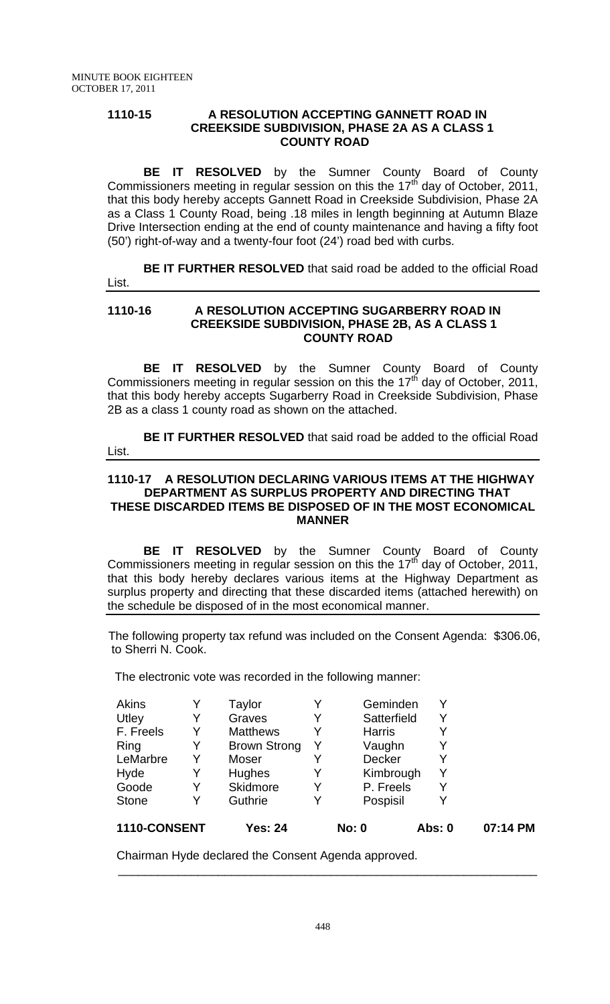### **1110-15 A RESOLUTION ACCEPTING GANNETT ROAD IN CREEKSIDE SUBDIVISION, PHASE 2A AS A CLASS 1 COUNTY ROAD**

**BE IT RESOLVED** by the Sumner County Board of County Commissioners meeting in regular session on this the 17<sup>th</sup> day of October, 2011, that this body hereby accepts Gannett Road in Creekside Subdivision, Phase 2A as a Class 1 County Road, being .18 miles in length beginning at Autumn Blaze Drive Intersection ending at the end of county maintenance and having a fifty foot (50') right-of-way and a twenty-four foot (24') road bed with curbs.

**BE IT FURTHER RESOLVED** that said road be added to the official Road List.

### **1110-16 A RESOLUTION ACCEPTING SUGARBERRY ROAD IN CREEKSIDE SUBDIVISION, PHASE 2B, AS A CLASS 1 COUNTY ROAD**

**BE IT RESOLVED** by the Sumner County Board of County Commissioners meeting in regular session on this the 17<sup>th</sup> day of October, 2011, that this body hereby accepts Sugarberry Road in Creekside Subdivision, Phase 2B as a class 1 county road as shown on the attached.

**BE IT FURTHER RESOLVED** that said road be added to the official Road List.

### **1110-17 A RESOLUTION DECLARING VARIOUS ITEMS AT THE HIGHWAY DEPARTMENT AS SURPLUS PROPERTY AND DIRECTING THAT THESE DISCARDED ITEMS BE DISPOSED OF IN THE MOST ECONOMICAL MANNER**

**BE IT RESOLVED** by the Sumner County Board of County Commissioners meeting in regular session on this the  $17<sup>th</sup>$  day of October, 2011, that this body hereby declares various items at the Highway Department as surplus property and directing that these discarded items (attached herewith) on the schedule be disposed of in the most economical manner.

 The following property tax refund was included on the Consent Agenda: \$306.06, to Sherri N. Cook.

The electronic vote was recorded in the following manner:

| 1110-CONSENT |   | Yes: 24             |   | <b>No: 0</b>  | Abs: 0 | 07:14 PM |
|--------------|---|---------------------|---|---------------|--------|----------|
| <b>Stone</b> |   | Guthrie             | Y | Pospisil      | Y      |          |
| Goode        | Y | Skidmore            | Y | P. Freels     | Y      |          |
| Hyde         | Y | Hughes              | Y | Kimbrough     | Y      |          |
| LeMarbre     | Y | Moser               |   | <b>Decker</b> |        |          |
| Ring         |   | <b>Brown Strong</b> |   | Vaughn        |        |          |
| F. Freels    | Y | <b>Matthews</b>     |   | <b>Harris</b> | Y      |          |
| Utley        | Y | Graves              | Y | Satterfield   | Y      |          |
| Akins        |   | Taylor              |   | Geminden      | Y      |          |

Chairman Hyde declared the Consent Agenda approved.

\_\_\_\_\_\_\_\_\_\_\_\_\_\_\_\_\_\_\_\_\_\_\_\_\_\_\_\_\_\_\_\_\_\_\_\_\_\_\_\_\_\_\_\_\_\_\_\_\_\_\_\_\_\_\_\_\_\_\_\_\_\_\_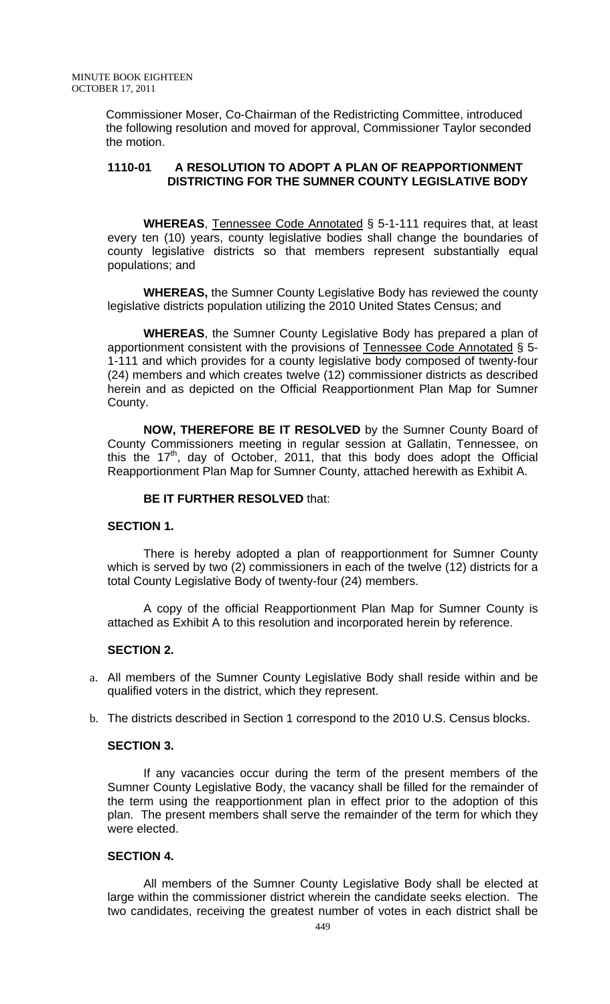Commissioner Moser, Co-Chairman of the Redistricting Committee, introduced the following resolution and moved for approval, Commissioner Taylor seconded the motion.

#### **1110-01 A RESOLUTION TO ADOPT A PLAN OF REAPPORTIONMENT DISTRICTING FOR THE SUMNER COUNTY LEGISLATIVE BODY**

**WHEREAS**, Tennessee Code Annotated § 5-1-111 requires that, at least every ten (10) years, county legislative bodies shall change the boundaries of county legislative districts so that members represent substantially equal populations; and

**WHEREAS,** the Sumner County Legislative Body has reviewed the county legislative districts population utilizing the 2010 United States Census; and

**WHEREAS**, the Sumner County Legislative Body has prepared a plan of apportionment consistent with the provisions of Tennessee Code Annotated § 5- 1-111 and which provides for a county legislative body composed of twenty-four (24) members and which creates twelve (12) commissioner districts as described herein and as depicted on the Official Reapportionment Plan Map for Sumner County.

**NOW, THEREFORE BE IT RESOLVED** by the Sumner County Board of County Commissioners meeting in regular session at Gallatin, Tennessee, on this the 17<sup>th</sup>, day of October, 2011, that this body does adopt the Official Reapportionment Plan Map for Sumner County, attached herewith as Exhibit A.

### **BE IT FURTHER RESOLVED** that:

### **SECTION 1.**

There is hereby adopted a plan of reapportionment for Sumner County which is served by two (2) commissioners in each of the twelve (12) districts for a total County Legislative Body of twenty-four (24) members.

A copy of the official Reapportionment Plan Map for Sumner County is attached as Exhibit A to this resolution and incorporated herein by reference.

## **SECTION 2.**

- a. All members of the Sumner County Legislative Body shall reside within and be qualified voters in the district, which they represent.
- b. The districts described in Section 1 correspond to the 2010 U.S. Census blocks.

### **SECTION 3.**

 If any vacancies occur during the term of the present members of the Sumner County Legislative Body, the vacancy shall be filled for the remainder of the term using the reapportionment plan in effect prior to the adoption of this plan. The present members shall serve the remainder of the term for which they were elected.

### **SECTION 4.**

 All members of the Sumner County Legislative Body shall be elected at large within the commissioner district wherein the candidate seeks election. The two candidates, receiving the greatest number of votes in each district shall be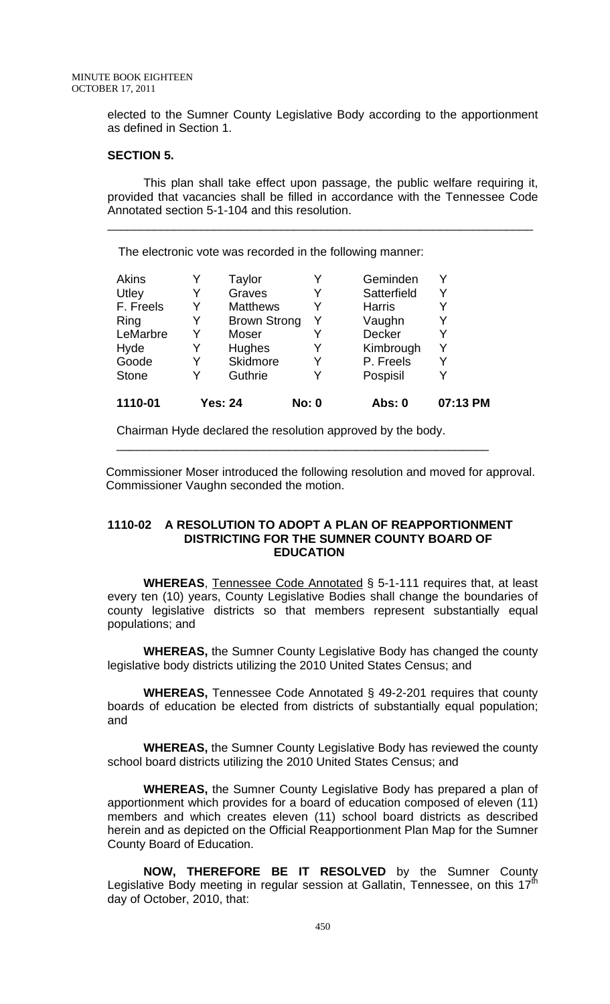elected to the Sumner County Legislative Body according to the apportionment as defined in Section 1.

### **SECTION 5.**

 This plan shall take effect upon passage, the public welfare requiring it, provided that vacancies shall be filled in accordance with the Tennessee Code Annotated section 5-1-104 and this resolution.

\_\_\_\_\_\_\_\_\_\_\_\_\_\_\_\_\_\_\_\_\_\_\_\_\_\_\_\_\_\_\_\_\_\_\_\_\_\_\_\_\_\_\_\_\_\_\_\_\_\_\_\_\_\_\_\_\_\_\_\_\_\_\_\_

The electronic vote was recorded in the following manner:

| Hughes          | Y     | Kimbrough | Y             |
|-----------------|-------|-----------|---------------|
| <b>Skidmore</b> | Y     | P. Freels |               |
| Guthrie         | Y     | Pospisil  |               |
|                 | Moser |           | <b>Decker</b> |

Chairman Hyde declared the resolution approved by the body.

 Commissioner Moser introduced the following resolution and moved for approval. Commissioner Vaughn seconded the motion.

\_\_\_\_\_\_\_\_\_\_\_\_\_\_\_\_\_\_\_\_\_\_\_\_\_\_\_\_\_\_\_\_\_\_\_\_\_\_\_\_\_\_\_\_\_\_\_\_\_\_\_\_\_\_\_\_

#### **1110-02 A RESOLUTION TO ADOPT A PLAN OF REAPPORTIONMENT DISTRICTING FOR THE SUMNER COUNTY BOARD OF EDUCATION**

**WHEREAS**, Tennessee Code Annotated § 5-1-111 requires that, at least every ten (10) years, County Legislative Bodies shall change the boundaries of county legislative districts so that members represent substantially equal populations; and

**WHEREAS,** the Sumner County Legislative Body has changed the county legislative body districts utilizing the 2010 United States Census; and

**WHEREAS,** Tennessee Code Annotated § 49-2-201 requires that county boards of education be elected from districts of substantially equal population; and

**WHEREAS,** the Sumner County Legislative Body has reviewed the county school board districts utilizing the 2010 United States Census; and

**WHEREAS,** the Sumner County Legislative Body has prepared a plan of apportionment which provides for a board of education composed of eleven (11) members and which creates eleven (11) school board districts as described herein and as depicted on the Official Reapportionment Plan Map for the Sumner County Board of Education.

**NOW, THEREFORE BE IT RESOLVED** by the Sumner County Legislative Body meeting in regular session at Gallatin, Tennessee, on this 17<sup>th</sup> day of October, 2010, that: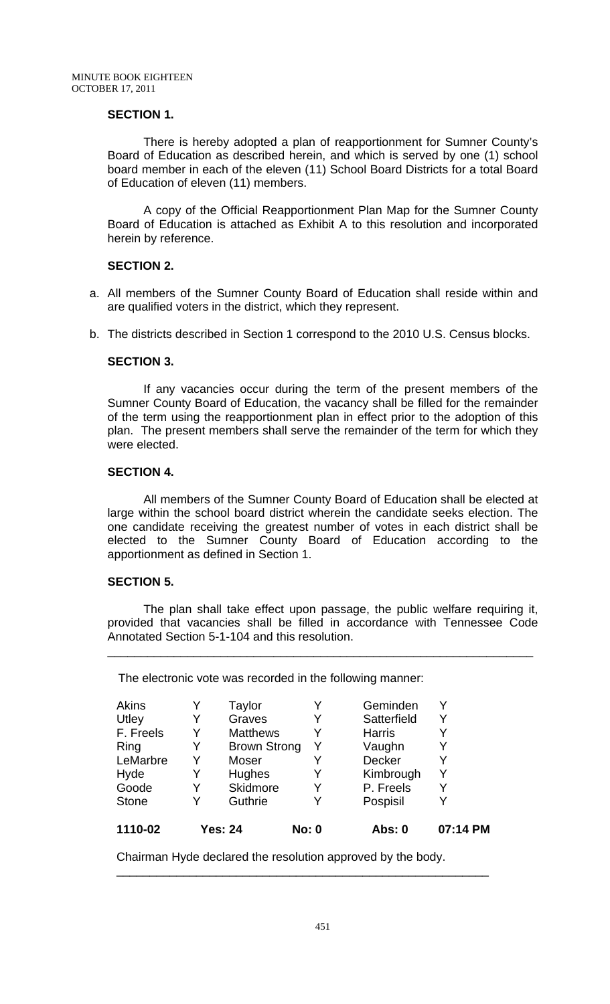### **SECTION 1.**

 There is hereby adopted a plan of reapportionment for Sumner County's Board of Education as described herein, and which is served by one (1) school board member in each of the eleven (11) School Board Districts for a total Board of Education of eleven (11) members.

A copy of the Official Reapportionment Plan Map for the Sumner County Board of Education is attached as Exhibit A to this resolution and incorporated herein by reference.

#### **SECTION 2.**

- a. All members of the Sumner County Board of Education shall reside within and are qualified voters in the district, which they represent.
- b. The districts described in Section 1 correspond to the 2010 U.S. Census blocks.

#### **SECTION 3.**

 If any vacancies occur during the term of the present members of the Sumner County Board of Education, the vacancy shall be filled for the remainder of the term using the reapportionment plan in effect prior to the adoption of this plan. The present members shall serve the remainder of the term for which they were elected.

#### **SECTION 4.**

 All members of the Sumner County Board of Education shall be elected at large within the school board district wherein the candidate seeks election. The one candidate receiving the greatest number of votes in each district shall be elected to the Sumner County Board of Education according to the apportionment as defined in Section 1.

#### **SECTION 5.**

 The plan shall take effect upon passage, the public welfare requiring it, provided that vacancies shall be filled in accordance with Tennessee Code Annotated Section 5-1-104 and this resolution.

\_\_\_\_\_\_\_\_\_\_\_\_\_\_\_\_\_\_\_\_\_\_\_\_\_\_\_\_\_\_\_\_\_\_\_\_\_\_\_\_\_\_\_\_\_\_\_\_\_\_\_\_\_\_\_\_\_\_\_\_\_\_\_\_

The electronic vote was recorded in the following manner:

| 1110-02      |   | <b>Yes: 24</b>      | <b>No: 0</b> | Abs: 0        | 07:14 PM |
|--------------|---|---------------------|--------------|---------------|----------|
| <b>Stone</b> | Y | Guthrie             | Y            | Pospisil      |          |
| Goode        | Y | Skidmore            | Y            | P. Freels     | Y        |
| Hyde         | Y | <b>Hughes</b>       | Y            | Kimbrough     | Y        |
| LeMarbre     | Y | Moser               |              | <b>Decker</b> | V        |
| Ring         | Y | <b>Brown Strong</b> | Y            | Vaughn        |          |
| F. Freels    | Y | <b>Matthews</b>     | Y            | <b>Harris</b> | Y        |
| Utley        | Y | Graves              | Y            | Satterfield   | Y        |
| Akins        |   | Taylor              |              | Geminden      |          |

\_\_\_\_\_\_\_\_\_\_\_\_\_\_\_\_\_\_\_\_\_\_\_\_\_\_\_\_\_\_\_\_\_\_\_\_\_\_\_\_\_\_\_\_\_\_\_\_\_\_\_\_\_\_\_\_

Chairman Hyde declared the resolution approved by the body.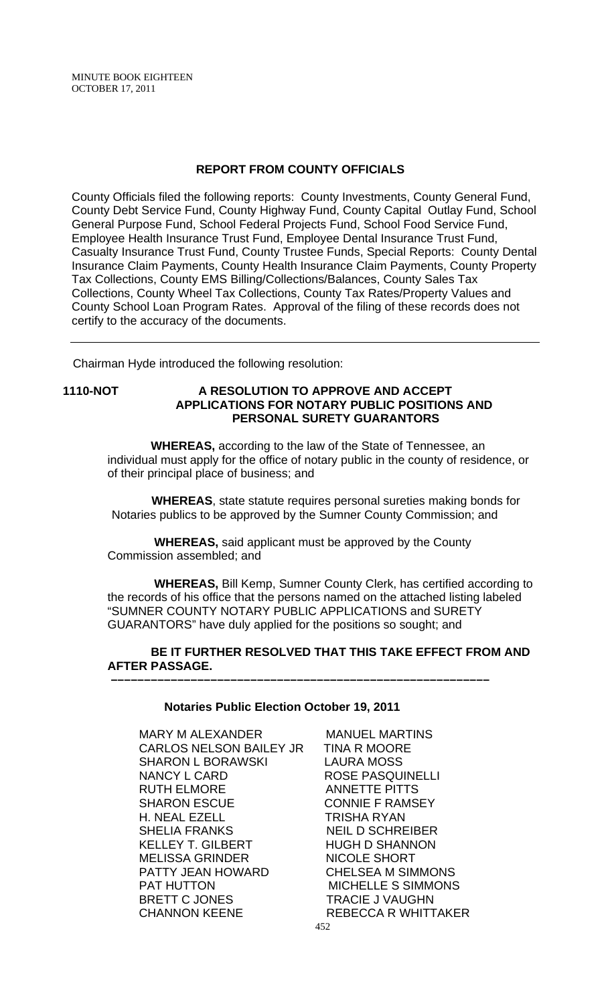### **REPORT FROM COUNTY OFFICIALS**

County Officials filed the following reports: County Investments, County General Fund, County Debt Service Fund, County Highway Fund, County Capital Outlay Fund, School General Purpose Fund, School Federal Projects Fund, School Food Service Fund, Employee Health Insurance Trust Fund, Employee Dental Insurance Trust Fund, Casualty Insurance Trust Fund, County Trustee Funds, Special Reports: County Dental Insurance Claim Payments, County Health Insurance Claim Payments, County Property Tax Collections, County EMS Billing/Collections/Balances, County Sales Tax Collections, County Wheel Tax Collections, County Tax Rates/Property Values and County School Loan Program Rates. Approval of the filing of these records does not certify to the accuracy of the documents.

Chairman Hyde introduced the following resolution:

### **1110-NOT A RESOLUTION TO APPROVE AND ACCEPT APPLICATIONS FOR NOTARY PUBLIC POSITIONS AND PERSONAL SURETY GUARANTORS**

 **WHEREAS,** according to the law of the State of Tennessee, an individual must apply for the office of notary public in the county of residence, or of their principal place of business; and

 **WHEREAS**, state statute requires personal sureties making bonds for Notaries publics to be approved by the Sumner County Commission; and

 **WHEREAS,** said applicant must be approved by the County Commission assembled; and

 **WHEREAS,** Bill Kemp, Sumner County Clerk, has certified according to the records of his office that the persons named on the attached listing labeled "SUMNER COUNTY NOTARY PUBLIC APPLICATIONS and SURETY GUARANTORS" have duly applied for the positions so sought; and

 **BE IT FURTHER RESOLVED THAT THIS TAKE EFFECT FROM AND AFTER PASSAGE.** 

#### **Notaries Public Election October 19, 2011**

 **–––––––––––––––––––––––––––––––––––––––––––––––––––––––––**

MARY M ALEXANDER MANUEL MARTINS<br>CARLOS NELSON BAILEY JR TINA R MOORE CARLOS NELSON BAILEY JR SHARON L BORAWSKI LAURA MOSS NANCY L CARD ROSE PASQUINELLI RUTH ELMORE ANNETTE PITTS SHARON ESCUE CONNIE F RAMSEY H. NEAL EZELL TRISHA RYAN SHELIA FRANKS NEIL D SCHREIBER KELLEY T. GILBERT HUGH D SHANNON MELISSA GRINDER PATTY JEAN HOWARD CHELSEA M SIMMONS PAT HUTTON MICHELLE S SIMMONS BRETT C JONES TRACIE J VAUGHN CHANNON KEENE REBECCA R WHITTAKER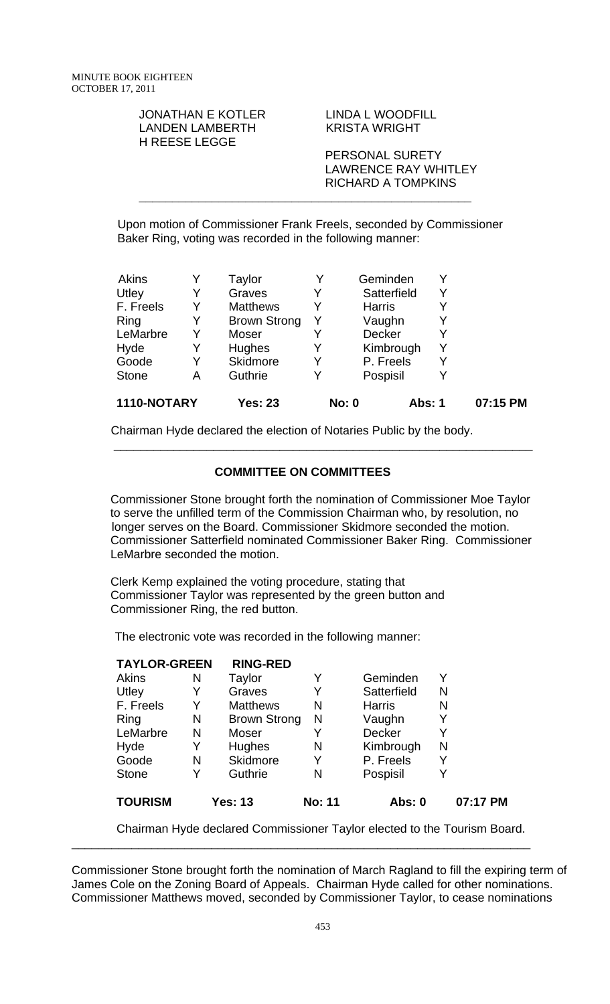#### JONATHAN E KOTLER LINDA L WOODFILL LANDEN LAMBERTH KRISTA WRIGHT H REESE LEGGE

 PERSONAL SURETY LAWRENCE RAY WHITLEY RICHARD A TOMPKINS

 Upon motion of Commissioner Frank Freels, seconded by Commissioner Baker Ring, voting was recorded in the following manner:

**\_\_\_\_\_\_\_\_\_\_\_\_\_\_\_\_\_\_\_\_\_\_\_\_\_\_\_\_\_\_\_\_\_\_\_\_\_\_\_\_\_\_\_\_\_\_\_\_\_\_** 

| <b>Akins</b> |   | Taylor              |   | Geminden                      |   |          |
|--------------|---|---------------------|---|-------------------------------|---|----------|
| Utley        | Y | Graves              | Y | Satterfield                   |   |          |
| F. Freels    | Y | <b>Matthews</b>     | Y | <b>Harris</b>                 |   |          |
| Ring         |   | <b>Brown Strong</b> |   | Vaughn                        |   |          |
| LeMarbre     | Y | Moser               |   | Decker                        |   |          |
| Hyde         | Y | Hughes              |   | Kimbrough                     | Y |          |
| Goode        |   | Skidmore            | Y | P. Freels                     |   |          |
| <b>Stone</b> | Α | Guthrie             | Y | Pospisil                      |   |          |
| 1110-NOTARY  |   | <b>Yes: 23</b>      |   | <b>No: 0</b><br><b>Abs: 1</b> |   | 07:15 PM |

Chairman Hyde declared the election of Notaries Public by the body.

## **COMMITTEE ON COMMITTEES**

\_\_\_\_\_\_\_\_\_\_\_\_\_\_\_\_\_\_\_\_\_\_\_\_\_\_\_\_\_\_\_\_\_\_\_\_\_\_\_\_\_\_\_\_\_\_\_\_\_\_\_\_\_\_\_\_\_\_\_\_\_\_\_

 Commissioner Stone brought forth the nomination of Commissioner Moe Taylor to serve the unfilled term of the Commission Chairman who, by resolution, no longer serves on the Board. Commissioner Skidmore seconded the motion. Commissioner Satterfield nominated Commissioner Baker Ring. Commissioner LeMarbre seconded the motion.

 Clerk Kemp explained the voting procedure, stating that Commissioner Taylor was represented by the green button and Commissioner Ring, the red button.

The electronic vote was recorded in the following manner:

| <b>TAYLOR-GREEN</b> |   | <b>RING-RED</b>     |               |               |   |          |
|---------------------|---|---------------------|---------------|---------------|---|----------|
| <b>Akins</b>        | N | Taylor              | Y             | Geminden      | Y |          |
| Utley               | Y | Graves              | Y             | Satterfield   | N |          |
| F. Freels           | Y | <b>Matthews</b>     | N             | <b>Harris</b> | N |          |
| Ring                | N | <b>Brown Strong</b> | N             | Vaughn        | Y |          |
| LeMarbre            | N | Moser               | Y             | <b>Decker</b> | Y |          |
| Hyde                |   | Hughes              | N             | Kimbrough     | N |          |
| Goode               | N | Skidmore            | Y             | P. Freels     | Y |          |
| <b>Stone</b>        |   | Guthrie             | N             | Pospisil      | Y |          |
| <b>TOURISM</b>      |   | Yes: 13             | <b>No: 11</b> | Abs: 0        |   | 07:17 PM |

Chairman Hyde declared Commissioner Taylor elected to the Tourism Board.

\_\_\_\_\_\_\_\_\_\_\_\_\_\_\_\_\_\_\_\_\_\_\_\_\_\_\_\_\_\_\_\_\_\_\_\_\_\_\_\_\_\_\_\_\_\_\_\_\_\_\_\_\_\_\_\_\_\_\_\_\_\_\_\_\_\_\_\_\_

Commissioner Stone brought forth the nomination of March Ragland to fill the expiring term of James Cole on the Zoning Board of Appeals. Chairman Hyde called for other nominations. Commissioner Matthews moved, seconded by Commissioner Taylor, to cease nominations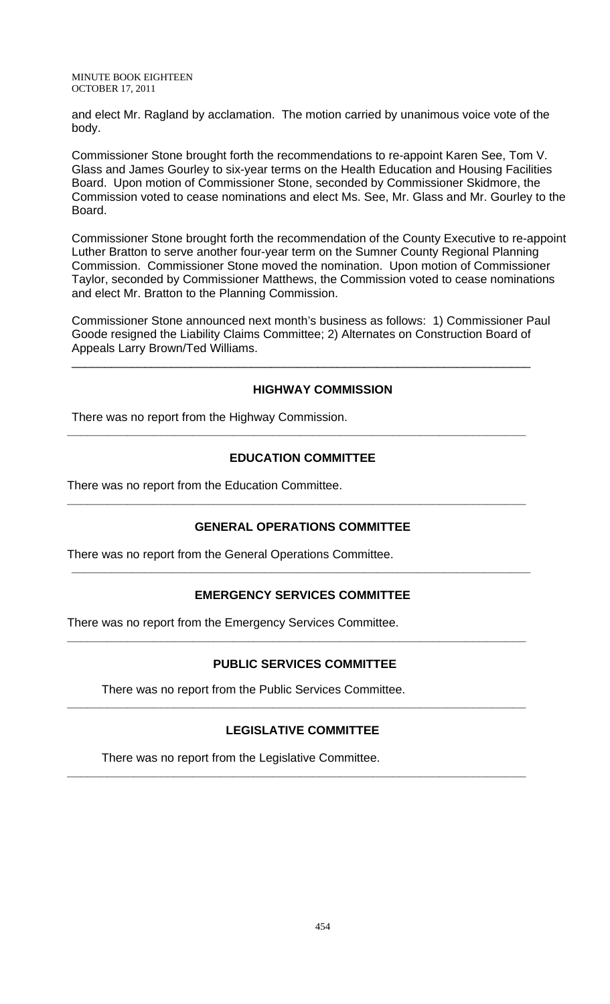and elect Mr. Ragland by acclamation. The motion carried by unanimous voice vote of the body.

Commissioner Stone brought forth the recommendations to re-appoint Karen See, Tom V. Glass and James Gourley to six-year terms on the Health Education and Housing Facilities Board. Upon motion of Commissioner Stone, seconded by Commissioner Skidmore, the Commission voted to cease nominations and elect Ms. See, Mr. Glass and Mr. Gourley to the Board.

Commissioner Stone brought forth the recommendation of the County Executive to re-appoint Luther Bratton to serve another four-year term on the Sumner County Regional Planning Commission. Commissioner Stone moved the nomination. Upon motion of Commissioner Taylor, seconded by Commissioner Matthews, the Commission voted to cease nominations and elect Mr. Bratton to the Planning Commission.

Commissioner Stone announced next month's business as follows: 1) Commissioner Paul Goode resigned the Liability Claims Committee; 2) Alternates on Construction Board of Appeals Larry Brown/Ted Williams.

\_\_\_\_\_\_\_\_\_\_\_\_\_\_\_\_\_\_\_\_\_\_\_\_\_\_\_\_\_\_\_\_\_\_\_\_\_\_\_\_\_\_\_\_\_\_\_\_\_\_\_\_\_\_\_\_\_\_\_\_\_\_\_\_\_\_\_\_\_

### **HIGHWAY COMMISSION**

There was no report from the Highway Commission.

# **EDUCATION COMMITTEE**

**\_\_\_\_\_\_\_\_\_\_\_\_\_\_\_\_\_\_\_\_\_\_\_\_\_\_\_\_\_\_\_\_\_\_\_\_\_\_\_\_\_\_\_\_\_\_\_\_\_\_\_\_\_\_\_\_\_\_\_\_\_\_\_\_\_\_\_\_\_** 

There was no report from the Education Committee.

## **GENERAL OPERATIONS COMMITTEE**

**\_\_\_\_\_\_\_\_\_\_\_\_\_\_\_\_\_\_\_\_\_\_\_\_\_\_\_\_\_\_\_\_\_\_\_\_\_\_\_\_\_\_\_\_\_\_\_\_\_\_\_\_\_\_\_\_\_\_\_\_\_\_\_\_\_\_\_\_\_** 

There was no report from the General Operations Committee.

# **EMERGENCY SERVICES COMMITTEE**

**\_\_\_\_\_\_\_\_\_\_\_\_\_\_\_\_\_\_\_\_\_\_\_\_\_\_\_\_\_\_\_\_\_\_\_\_\_\_\_\_\_\_\_\_\_\_\_\_\_\_\_\_\_\_\_\_\_\_\_\_\_\_\_\_\_\_\_\_\_** 

There was no report from the Emergency Services Committee.

## **PUBLIC SERVICES COMMITTEE**

**\_\_\_\_\_\_\_\_\_\_\_\_\_\_\_\_\_\_\_\_\_\_\_\_\_\_\_\_\_\_\_\_\_\_\_\_\_\_\_\_\_\_\_\_\_\_\_\_\_\_\_\_\_\_\_\_\_\_\_\_\_\_\_\_\_\_\_\_\_** 

There was no report from the Public Services Committee.

## **LEGISLATIVE COMMITTEE**

**\_\_\_\_\_\_\_\_\_\_\_\_\_\_\_\_\_\_\_\_\_\_\_\_\_\_\_\_\_\_\_\_\_\_\_\_\_\_\_\_\_\_\_\_\_\_\_\_\_\_\_\_\_\_\_\_\_\_\_\_\_\_\_\_\_\_\_\_\_** 

**\_\_\_\_\_\_\_\_\_\_\_\_\_\_\_\_\_\_\_\_\_\_\_\_\_\_\_\_\_\_\_\_\_\_\_\_\_\_\_\_\_\_\_\_\_\_\_\_\_\_\_\_\_\_\_\_\_\_\_\_\_\_\_\_\_\_\_\_\_** 

There was no report from the Legislative Committee.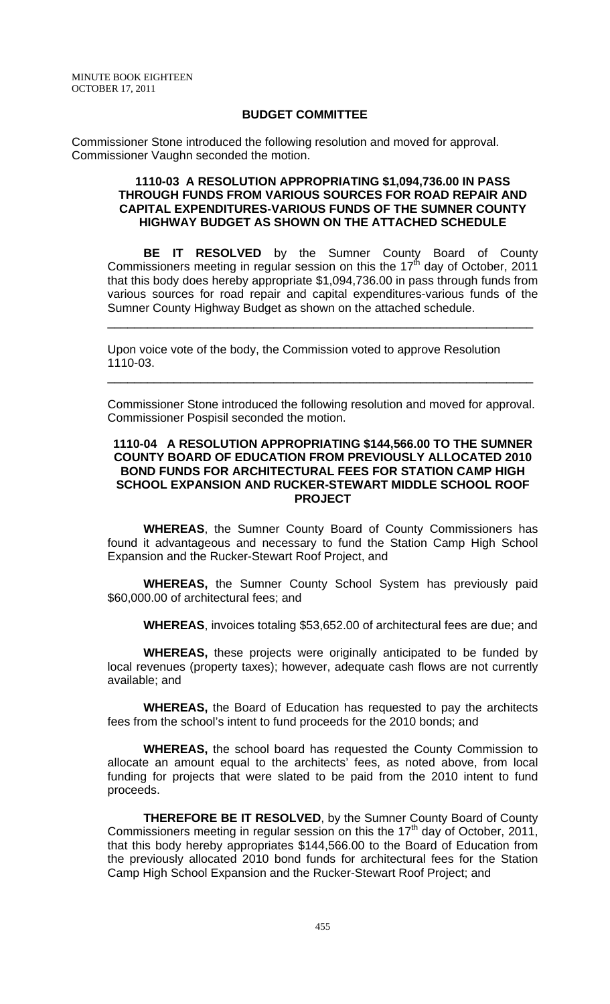### **BUDGET COMMITTEE**

Commissioner Stone introduced the following resolution and moved for approval. Commissioner Vaughn seconded the motion.

### **1110-03 A RESOLUTION APPROPRIATING \$1,094,736.00 IN PASS THROUGH FUNDS FROM VARIOUS SOURCES FOR ROAD REPAIR AND CAPITAL EXPENDITURES-VARIOUS FUNDS OF THE SUMNER COUNTY HIGHWAY BUDGET AS SHOWN ON THE ATTACHED SCHEDULE**

**BE IT RESOLVED** by the Sumner County Board of County Commissioners meeting in regular session on this the 17<sup>th</sup> day of October, 2011 that this body does hereby appropriate \$1,094,736.00 in pass through funds from various sources for road repair and capital expenditures-various funds of the Sumner County Highway Budget as shown on the attached schedule.

\_\_\_\_\_\_\_\_\_\_\_\_\_\_\_\_\_\_\_\_\_\_\_\_\_\_\_\_\_\_\_\_\_\_\_\_\_\_\_\_\_\_\_\_\_\_\_\_\_\_\_\_\_\_\_\_\_\_\_\_\_\_\_\_

Upon voice vote of the body, the Commission voted to approve Resolution 1110-03.

Commissioner Stone introduced the following resolution and moved for approval. Commissioner Pospisil seconded the motion.

\_\_\_\_\_\_\_\_\_\_\_\_\_\_\_\_\_\_\_\_\_\_\_\_\_\_\_\_\_\_\_\_\_\_\_\_\_\_\_\_\_\_\_\_\_\_\_\_\_\_\_\_\_\_\_\_\_\_\_\_\_\_\_\_

#### **1110-04 A RESOLUTION APPROPRIATING \$144,566.00 TO THE SUMNER COUNTY BOARD OF EDUCATION FROM PREVIOUSLY ALLOCATED 2010 BOND FUNDS FOR ARCHITECTURAL FEES FOR STATION CAMP HIGH SCHOOL EXPANSION AND RUCKER-STEWART MIDDLE SCHOOL ROOF PROJECT**

**WHEREAS**, the Sumner County Board of County Commissioners has found it advantageous and necessary to fund the Station Camp High School Expansion and the Rucker-Stewart Roof Project, and

**WHEREAS,** the Sumner County School System has previously paid \$60,000.00 of architectural fees; and

**WHEREAS**, invoices totaling \$53,652.00 of architectural fees are due; and

**WHEREAS,** these projects were originally anticipated to be funded by local revenues (property taxes); however, adequate cash flows are not currently available; and

**WHEREAS,** the Board of Education has requested to pay the architects fees from the school's intent to fund proceeds for the 2010 bonds; and

**WHEREAS,** the school board has requested the County Commission to allocate an amount equal to the architects' fees, as noted above, from local funding for projects that were slated to be paid from the 2010 intent to fund proceeds.

**THEREFORE BE IT RESOLVED**, by the Sumner County Board of County Commissioners meeting in regular session on this the 17<sup>th</sup> day of October, 2011, that this body hereby appropriates \$144,566.00 to the Board of Education from the previously allocated 2010 bond funds for architectural fees for the Station Camp High School Expansion and the Rucker-Stewart Roof Project; and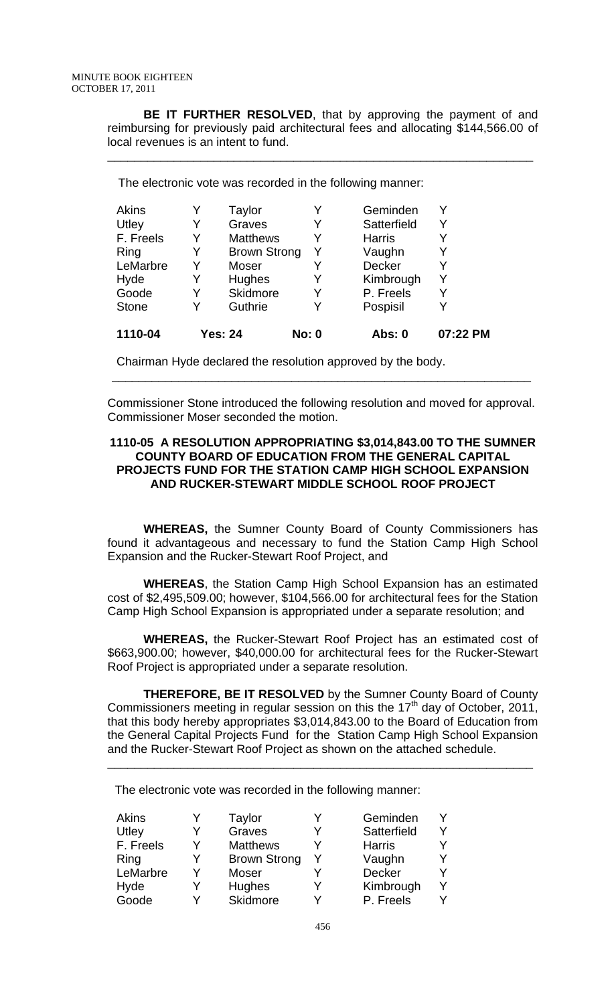**BE IT FURTHER RESOLVED**, that by approving the payment of and reimbursing for previously paid architectural fees and allocating \$144,566.00 of local revenues is an intent to fund.

\_\_\_\_\_\_\_\_\_\_\_\_\_\_\_\_\_\_\_\_\_\_\_\_\_\_\_\_\_\_\_\_\_\_\_\_\_\_\_\_\_\_\_\_\_\_\_\_\_\_\_\_\_\_\_\_\_\_\_\_\_\_\_\_

The electronic vote was recorded in the following manner:

| Akins        |   | Taylor              |              | Geminden      |          |
|--------------|---|---------------------|--------------|---------------|----------|
| Utley        | Y | Graves              | Y            | Satterfield   | Y        |
| F. Freels    | Y | <b>Matthews</b>     | Y            | <b>Harris</b> |          |
| Ring         | Y | <b>Brown Strong</b> | Y            | Vaughn        |          |
| LeMarbre     | Y | Moser               | Y            | <b>Decker</b> |          |
| Hyde         | Y | Hughes              | Y            | Kimbrough     | Υ        |
| Goode        | Y | <b>Skidmore</b>     | Y            | P. Freels     |          |
| <b>Stone</b> | Y | Guthrie             | Y            | Pospisil      |          |
| 1110-04      |   | Yes: 24             | <b>No: 0</b> | Abs: 0        | 07:22 PM |

Chairman Hyde declared the resolution approved by the body.

Commissioner Stone introduced the following resolution and moved for approval. Commissioner Moser seconded the motion.

\_\_\_\_\_\_\_\_\_\_\_\_\_\_\_\_\_\_\_\_\_\_\_\_\_\_\_\_\_\_\_\_\_\_\_\_\_\_\_\_\_\_\_\_\_\_\_\_\_\_\_\_\_\_\_\_\_\_\_\_\_\_\_

### **1110-05 A RESOLUTION APPROPRIATING \$3,014,843.00 TO THE SUMNER COUNTY BOARD OF EDUCATION FROM THE GENERAL CAPITAL PROJECTS FUND FOR THE STATION CAMP HIGH SCHOOL EXPANSION AND RUCKER-STEWART MIDDLE SCHOOL ROOF PROJECT**

**WHEREAS,** the Sumner County Board of County Commissioners has found it advantageous and necessary to fund the Station Camp High School Expansion and the Rucker-Stewart Roof Project, and

**WHEREAS**, the Station Camp High School Expansion has an estimated cost of \$2,495,509.00; however, \$104,566.00 for architectural fees for the Station Camp High School Expansion is appropriated under a separate resolution; and

**WHEREAS,** the Rucker-Stewart Roof Project has an estimated cost of \$663,900.00; however, \$40,000.00 for architectural fees for the Rucker-Stewart Roof Project is appropriated under a separate resolution.

**THEREFORE, BE IT RESOLVED** by the Sumner County Board of County Commissioners meeting in regular session on this the  $17<sup>th</sup>$  day of October, 2011, that this body hereby appropriates \$3,014,843.00 to the Board of Education from the General Capital Projects Fund for the Station Camp High School Expansion and the Rucker-Stewart Roof Project as shown on the attached schedule.

\_\_\_\_\_\_\_\_\_\_\_\_\_\_\_\_\_\_\_\_\_\_\_\_\_\_\_\_\_\_\_\_\_\_\_\_\_\_\_\_\_\_\_\_\_\_\_\_\_\_\_\_\_\_\_\_\_\_\_\_\_\_\_\_

The electronic vote was recorded in the following manner:

| Akins     |   | Taylor              | Geminden      |  |
|-----------|---|---------------------|---------------|--|
| Utley     | v | Graves              | Satterfield   |  |
| F. Freels | Y | <b>Matthews</b>     | <b>Harris</b> |  |
| Ring      | v | <b>Brown Strong</b> | Vaughn        |  |
| LeMarbre  | v | Moser               | Decker        |  |
| Hyde      | Y | Hughes              | Kimbrough     |  |
| Goode     | v | Skidmore            | P. Freels     |  |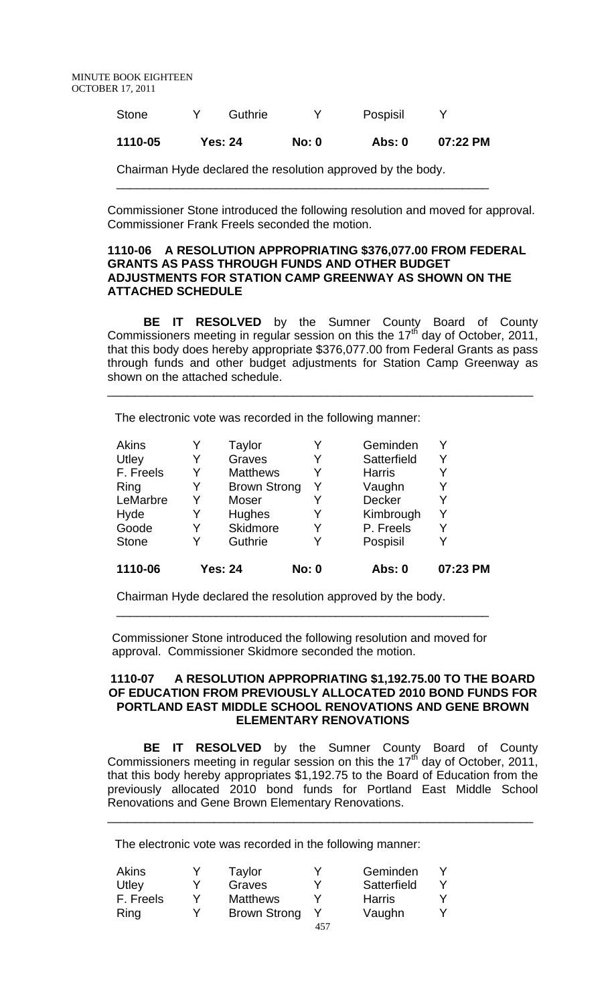| Stone   | Guthrie        |              | Pospisil |          |
|---------|----------------|--------------|----------|----------|
| 1110-05 | <b>Yes: 24</b> | <b>No: 0</b> | Abs: 0   | 07:22 PM |

\_\_\_\_\_\_\_\_\_\_\_\_\_\_\_\_\_\_\_\_\_\_\_\_\_\_\_\_\_\_\_\_\_\_\_\_\_\_\_\_\_\_\_\_\_\_\_\_\_\_\_\_\_\_\_\_

Chairman Hyde declared the resolution approved by the body.

Commissioner Stone introduced the following resolution and moved for approval. Commissioner Frank Freels seconded the motion.

### **1110-06 A RESOLUTION APPROPRIATING \$376,077.00 FROM FEDERAL GRANTS AS PASS THROUGH FUNDS AND OTHER BUDGET ADJUSTMENTS FOR STATION CAMP GREENWAY AS SHOWN ON THE ATTACHED SCHEDULE**

**BE IT RESOLVED** by the Sumner County Board of County Commissioners meeting in regular session on this the  $17<sup>th</sup>$  day of October, 2011, that this body does hereby appropriate \$376,077.00 from Federal Grants as pass through funds and other budget adjustments for Station Camp Greenway as shown on the attached schedule.

\_\_\_\_\_\_\_\_\_\_\_\_\_\_\_\_\_\_\_\_\_\_\_\_\_\_\_\_\_\_\_\_\_\_\_\_\_\_\_\_\_\_\_\_\_\_\_\_\_\_\_\_\_\_\_\_\_\_\_\_\_\_\_\_

The electronic vote was recorded in the following manner:

|   |                 |                | Abs: 0                              | 07:23 PM |
|---|-----------------|----------------|-------------------------------------|----------|
| Y | Guthrie         | Y              | Pospisil                            |          |
| Y | <b>Skidmore</b> | Y              | P. Freels                           |          |
| Y | Hughes          |                | Kimbrough                           | v        |
| Y | Moser           |                | <b>Decker</b>                       |          |
| Y |                 | Y              | Vaughn                              |          |
| Y | <b>Matthews</b> |                | <b>Harris</b>                       |          |
| Y | Graves          |                | Satterfield                         |          |
| Y | Taylor          |                | Geminden                            |          |
|   |                 | <b>Yes: 24</b> | <b>Brown Strong</b><br><b>No: 0</b> |          |

Chairman Hyde declared the resolution approved by the body.

Commissioner Stone introduced the following resolution and moved for approval. Commissioner Skidmore seconded the motion.

\_\_\_\_\_\_\_\_\_\_\_\_\_\_\_\_\_\_\_\_\_\_\_\_\_\_\_\_\_\_\_\_\_\_\_\_\_\_\_\_\_\_\_\_\_\_\_\_\_\_\_\_\_\_\_\_

#### **1110-07 A RESOLUTION APPROPRIATING \$1,192.75.00 TO THE BOARD OF EDUCATION FROM PREVIOUSLY ALLOCATED 2010 BOND FUNDS FOR PORTLAND EAST MIDDLE SCHOOL RENOVATIONS AND GENE BROWN ELEMENTARY RENOVATIONS**

**BE IT RESOLVED** by the Sumner County Board of County Commissioners meeting in regular session on this the  $17<sup>th</sup>$  day of October, 2011, that this body hereby appropriates \$1,192.75 to the Board of Education from the previously allocated 2010 bond funds for Portland East Middle School Renovations and Gene Brown Elementary Renovations.

\_\_\_\_\_\_\_\_\_\_\_\_\_\_\_\_\_\_\_\_\_\_\_\_\_\_\_\_\_\_\_\_\_\_\_\_\_\_\_\_\_\_\_\_\_\_\_\_\_\_\_\_\_\_\_\_\_\_\_\_\_\_\_\_

The electronic vote was recorded in the following manner:

| Akins     | Taylor              | Geminden      |  |
|-----------|---------------------|---------------|--|
| Utley     | Graves              | Satterfield   |  |
| F. Freels | <b>Matthews</b>     | <b>Harris</b> |  |
| Ring      | <b>Brown Strong</b> | Vaughn        |  |
|           |                     |               |  |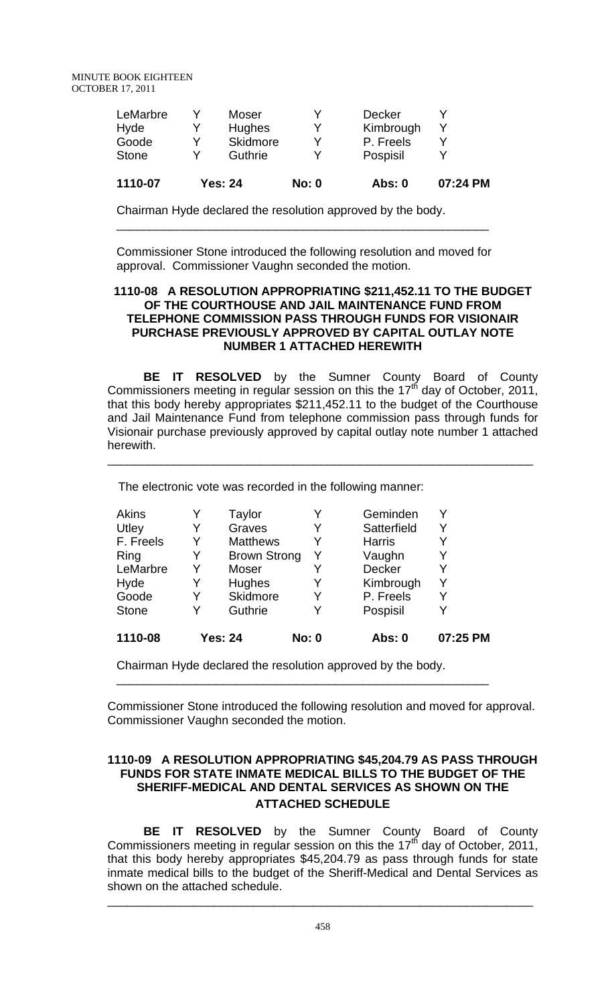| <b>Stone</b> |   | Guthrie       |   | Pospisil      |  |
|--------------|---|---------------|---|---------------|--|
| Goode        | v | Skidmore      | ∨ | P. Freels     |  |
| Hyde         |   | <b>Hughes</b> |   | Kimbrough     |  |
| LeMarbre     |   | Moser         |   | <b>Decker</b> |  |

Chairman Hyde declared the resolution approved by the body.

Commissioner Stone introduced the following resolution and moved for approval. Commissioner Vaughn seconded the motion.

\_\_\_\_\_\_\_\_\_\_\_\_\_\_\_\_\_\_\_\_\_\_\_\_\_\_\_\_\_\_\_\_\_\_\_\_\_\_\_\_\_\_\_\_\_\_\_\_\_\_\_\_\_\_\_\_

### **1110-08 A RESOLUTION APPROPRIATING \$211,452.11 TO THE BUDGET OF THE COURTHOUSE AND JAIL MAINTENANCE FUND FROM TELEPHONE COMMISSION PASS THROUGH FUNDS FOR VISIONAIR PURCHASE PREVIOUSLY APPROVED BY CAPITAL OUTLAY NOTE NUMBER 1 ATTACHED HEREWITH**

**BE IT RESOLVED** by the Sumner County Board of County Commissioners meeting in regular session on this the  $17<sup>th</sup>$  day of October, 2011, that this body hereby appropriates \$211,452.11 to the budget of the Courthouse and Jail Maintenance Fund from telephone commission pass through funds for Visionair purchase previously approved by capital outlay note number 1 attached herewith.

\_\_\_\_\_\_\_\_\_\_\_\_\_\_\_\_\_\_\_\_\_\_\_\_\_\_\_\_\_\_\_\_\_\_\_\_\_\_\_\_\_\_\_\_\_\_\_\_\_\_\_\_\_\_\_\_\_\_\_\_\_\_\_\_

The electronic vote was recorded in the following manner:

| 1110-08      |   | <b>Yes: 24</b>      | <b>No: 0</b> | <b>Abs: 0</b> | 07:25 PM |
|--------------|---|---------------------|--------------|---------------|----------|
| <b>Stone</b> | Y | Guthrie             | Y            | Pospisil      |          |
| Goode        | Y | Skidmore            | Y            | P. Freels     |          |
| Hyde         | Y | Hughes              | Y            | Kimbrough     | Y        |
| LeMarbre     | Y | Moser               | Y            | <b>Decker</b> | Y        |
| Ring         | Y | <b>Brown Strong</b> | Y            | Vaughn        |          |
| F. Freels    | Y | <b>Matthews</b>     |              | <b>Harris</b> |          |
| Utley        | Y | Graves              | Y            | Satterfield   | Y        |
| Akins        | Y | Taylor              | Y            | Geminden      |          |

\_\_\_\_\_\_\_\_\_\_\_\_\_\_\_\_\_\_\_\_\_\_\_\_\_\_\_\_\_\_\_\_\_\_\_\_\_\_\_\_\_\_\_\_\_\_\_\_\_\_\_\_\_\_\_\_

Chairman Hyde declared the resolution approved by the body.

Commissioner Stone introduced the following resolution and moved for approval. Commissioner Vaughn seconded the motion.

## **1110-09 A RESOLUTION APPROPRIATING \$45,204.79 AS PASS THROUGH FUNDS FOR STATE INMATE MEDICAL BILLS TO THE BUDGET OF THE SHERIFF-MEDICAL AND DENTAL SERVICES AS SHOWN ON THE ATTACHED SCHEDULE**

**BE IT RESOLVED** by the Sumner County Board of County Commissioners meeting in regular session on this the  $17<sup>th</sup>$  day of October, 2011, that this body hereby appropriates \$45,204.79 as pass through funds for state inmate medical bills to the budget of the Sheriff-Medical and Dental Services as shown on the attached schedule.

\_\_\_\_\_\_\_\_\_\_\_\_\_\_\_\_\_\_\_\_\_\_\_\_\_\_\_\_\_\_\_\_\_\_\_\_\_\_\_\_\_\_\_\_\_\_\_\_\_\_\_\_\_\_\_\_\_\_\_\_\_\_\_\_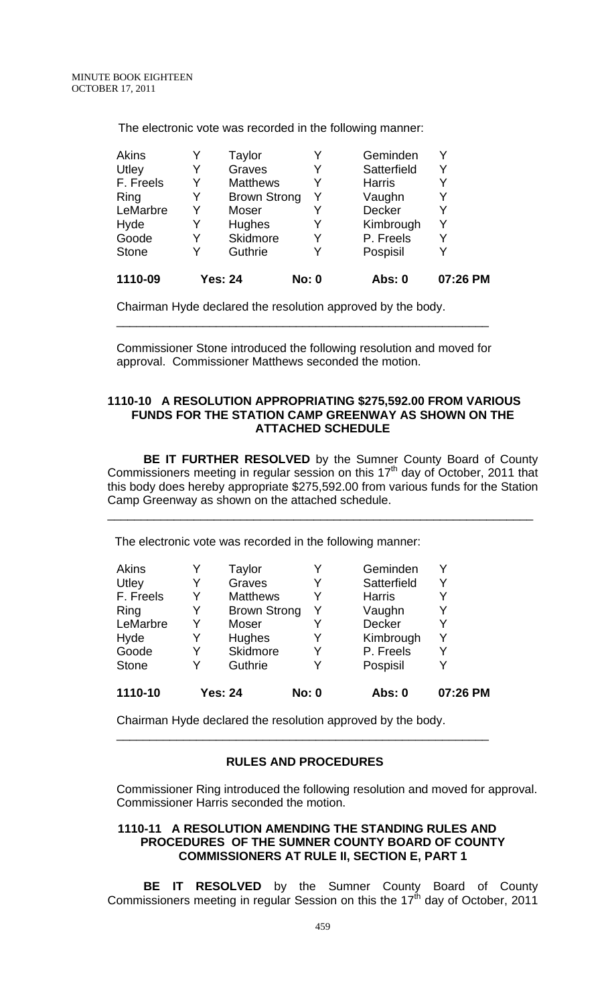| 1110-09      |   | <b>Yes: 24</b>      | <b>No: 0</b> | Abs: 0        | 07:26 PM |
|--------------|---|---------------------|--------------|---------------|----------|
| <b>Stone</b> |   | Guthrie             | Y            | Pospisil      |          |
| Goode        | Y | Skidmore            | Y            | P. Freels     |          |
| Hyde         |   | Hughes              |              | Kimbrough     |          |
| LeMarbre     | Y | Moser               | Y            | Decker        |          |
| Ring         | Y | <b>Brown Strong</b> | Y            | Vaughn        |          |
| F. Freels    | Y | <b>Matthews</b>     |              | <b>Harris</b> |          |
| Utley        | Y | Graves              | Y            | Satterfield   |          |
| Akins        |   | Taylor              | Y            | Geminden      |          |
|              |   |                     |              |               |          |

The electronic vote was recorded in the following manner:

Chairman Hyde declared the resolution approved by the body.

Commissioner Stone introduced the following resolution and moved for approval. Commissioner Matthews seconded the motion.

\_\_\_\_\_\_\_\_\_\_\_\_\_\_\_\_\_\_\_\_\_\_\_\_\_\_\_\_\_\_\_\_\_\_\_\_\_\_\_\_\_\_\_\_\_\_\_\_\_\_\_\_\_\_\_\_

#### **1110-10 A RESOLUTION APPROPRIATING \$275,592.00 FROM VARIOUS FUNDS FOR THE STATION CAMP GREENWAY AS SHOWN ON THE ATTACHED SCHEDULE**

**BE IT FURTHER RESOLVED** by the Sumner County Board of County Commissioners meeting in regular session on this  $17<sup>th</sup>$  day of October, 2011 that this body does hereby appropriate \$275,592.00 from various funds for the Station Camp Greenway as shown on the attached schedule.

\_\_\_\_\_\_\_\_\_\_\_\_\_\_\_\_\_\_\_\_\_\_\_\_\_\_\_\_\_\_\_\_\_\_\_\_\_\_\_\_\_\_\_\_\_\_\_\_\_\_\_\_\_\_\_\_\_\_\_\_\_\_\_\_

The electronic vote was recorded in the following manner:

| Akins        |   | Taylor              |              | Geminden      |          |
|--------------|---|---------------------|--------------|---------------|----------|
| Utley        | Y | Graves              | Y            | Satterfield   | Y        |
| F. Freels    | Y | <b>Matthews</b>     | Y            | <b>Harris</b> | Y        |
| Ring         | Y | <b>Brown Strong</b> | Y            | Vaughn        |          |
| LeMarbre     | Y | Moser               | Y            | <b>Decker</b> |          |
| Hyde         | Y | Hughes              | Y            | Kimbrough     | Y        |
| Goode        | Y | <b>Skidmore</b>     | Y            | P. Freels     | Y        |
| <b>Stone</b> | Y | Guthrie             | Y            | Pospisil      |          |
| 1110-10      |   | <b>Yes: 24</b>      | <b>No: 0</b> | Abs: 0        | 07:26 PM |

Chairman Hyde declared the resolution approved by the body.

### **RULES AND PROCEDURES**

\_\_\_\_\_\_\_\_\_\_\_\_\_\_\_\_\_\_\_\_\_\_\_\_\_\_\_\_\_\_\_\_\_\_\_\_\_\_\_\_\_\_\_\_\_\_\_\_\_\_\_\_\_\_\_\_

Commissioner Ring introduced the following resolution and moved for approval. Commissioner Harris seconded the motion.

## **1110-11 A RESOLUTION AMENDING THE STANDING RULES AND PROCEDURES OF THE SUMNER COUNTY BOARD OF COUNTY COMMISSIONERS AT RULE II, SECTION E, PART 1**

**BE IT RESOLVED** by the Sumner County Board of County Commissioners meeting in regular Session on this the  $17<sup>th</sup>$  day of October, 2011